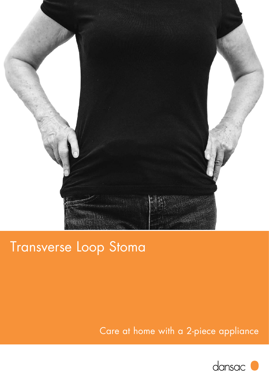

# Transverse Loop Stoma

## Care at home with a 2-piece appliance

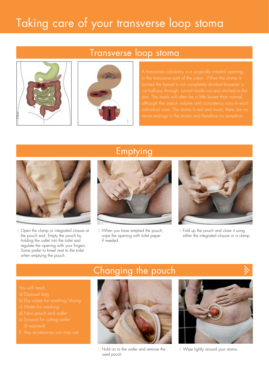# Taking care of your transverse loop stoma





formed the bowel is not completely divided however is skin. The stools will often be a little looser than normal,



1) Open the clamp or integrated closure at the pouch end. Empty the pouch by holding the outlet into the toilet and regulate the opening with your fingers. Some prefer to kneel next to the toilet when emptying the pouch.

 (if required)

#### Emptying



2) When you have emptied the pouch, wipe the opening with toilet paper if needed.



3) Fold up the pouch and close it using either the integrated closure or a clamp.

### Changing the pouch



1) Hold on to the wafer and remove the 2) Wipe lightly around your stoma. used pouch.

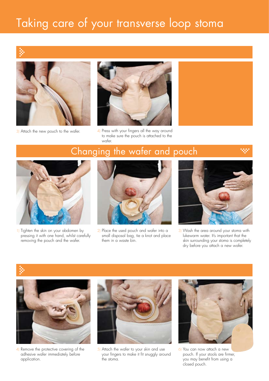# Taking care of your transverse loop stoma





3) Attach the new pouch to the wafer. 4) Press with your fingers all the way around to make sure the pouch is attached to the wafer.

## Changing the wafer and pouch



1) Tighten the skin on your abdomen by pressing it with one hand, whilst carefully removing the pouch and the wafer.



2) Place the used pouch and wafer into a small disposal bag, tie a knot and place them in a waste bin.



3) Wash the area around your stoma with lukewarm water. It's important that the skin surrounding your stoma is completely dry before you attach a new wafer.





4) Remove the protective covering of the adhesive wafer immediately before application.



5) Attach the wafer to your skin and use your fingers to make it fit snuggly around the stoma.



6) You can now attach a new pouch. If your stools are firmer, you may benefit from using a closed pouch.